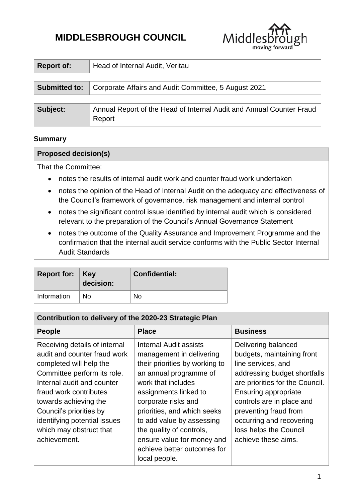# **MIDDLESBROUGH COUNCIL**



| <b>Report of:</b>    | Head of Internal Audit, Veritau                                                |  |  |
|----------------------|--------------------------------------------------------------------------------|--|--|
|                      |                                                                                |  |  |
| <b>Submitted to:</b> | Corporate Affairs and Audit Committee, 5 August 2021                           |  |  |
|                      |                                                                                |  |  |
| Subject:             | Annual Report of the Head of Internal Audit and Annual Counter Fraud<br>Report |  |  |

# **Summary**

#### **Proposed decision(s)**

That the Committee:

- notes the results of internal audit work and counter fraud work undertaken
- notes the opinion of the Head of Internal Audit on the adequacy and effectiveness of the Council's framework of governance, risk management and internal control
- notes the significant control issue identified by internal audit which is considered relevant to the preparation of the Council's Annual Governance Statement
- notes the outcome of the Quality Assurance and Improvement Programme and the confirmation that the internal audit service conforms with the Public Sector Internal Audit Standards

| <b>Report for: Key</b> | decision: | <b>Confidential:</b> |
|------------------------|-----------|----------------------|
| Information            | No        | No                   |

| Contribution to delivery of the 2020-23 Strategic Plan                                                                                                                                                                                                                                                         |                                                                                                                                                                                                                                                                                                                                                            |                                                                                                                                                                                                                                                                                                       |  |  |
|----------------------------------------------------------------------------------------------------------------------------------------------------------------------------------------------------------------------------------------------------------------------------------------------------------------|------------------------------------------------------------------------------------------------------------------------------------------------------------------------------------------------------------------------------------------------------------------------------------------------------------------------------------------------------------|-------------------------------------------------------------------------------------------------------------------------------------------------------------------------------------------------------------------------------------------------------------------------------------------------------|--|--|
| <b>People</b>                                                                                                                                                                                                                                                                                                  | <b>Place</b>                                                                                                                                                                                                                                                                                                                                               | <b>Business</b>                                                                                                                                                                                                                                                                                       |  |  |
| Receiving details of internal<br>audit and counter fraud work<br>completed will help the<br>Committee perform its role.<br>Internal audit and counter<br>fraud work contributes<br>towards achieving the<br>Council's priorities by<br>identifying potential issues<br>which may obstruct that<br>achievement. | Internal Audit assists<br>management in delivering<br>their priorities by working to<br>an annual programme of<br>work that includes<br>assignments linked to<br>corporate risks and<br>priorities, and which seeks<br>to add value by assessing<br>the quality of controls,<br>ensure value for money and<br>achieve better outcomes for<br>local people. | Delivering balanced<br>budgets, maintaining front<br>line services, and<br>addressing budget shortfalls<br>are priorities for the Council.<br>Ensuring appropriate<br>controls are in place and<br>preventing fraud from<br>occurring and recovering<br>loss helps the Council<br>achieve these aims. |  |  |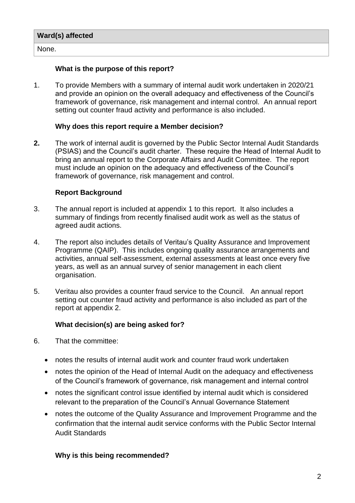| Ward(s) affected   |  |
|--------------------|--|
| <sup>1</sup> None. |  |

# **What is the purpose of this report?**

1. To provide Members with a summary of internal audit work undertaken in 2020/21 and provide an opinion on the overall adequacy and effectiveness of the Council's framework of governance, risk management and internal control. An annual report setting out counter fraud activity and performance is also included.

#### **Why does this report require a Member decision?**

**2.** The work of internal audit is governed by the Public Sector Internal Audit Standards (PSIAS) and the Council's audit charter. These require the Head of Internal Audit to bring an annual report to the Corporate Affairs and Audit Committee. The report must include an opinion on the adequacy and effectiveness of the Council's framework of governance, risk management and control.

#### **Report Background**

- 3. The annual report is included at appendix 1 to this report. It also includes a summary of findings from recently finalised audit work as well as the status of agreed audit actions.
- 4. The report also includes details of Veritau's Quality Assurance and Improvement Programme (QAIP). This includes ongoing quality assurance arrangements and activities, annual self-assessment, external assessments at least once every five years, as well as an annual survey of senior management in each client organisation.
- 5. Veritau also provides a counter fraud service to the Council. An annual report setting out counter fraud activity and performance is also included as part of the report at appendix 2.

# **What decision(s) are being asked for?**

- 6. That the committee:
	- notes the results of internal audit work and counter fraud work undertaken
	- notes the opinion of the Head of Internal Audit on the adequacy and effectiveness of the Council's framework of governance, risk management and internal control
	- notes the significant control issue identified by internal audit which is considered relevant to the preparation of the Council's Annual Governance Statement
	- notes the outcome of the Quality Assurance and Improvement Programme and the confirmation that the internal audit service conforms with the Public Sector Internal Audit Standards

# **Why is this being recommended?**